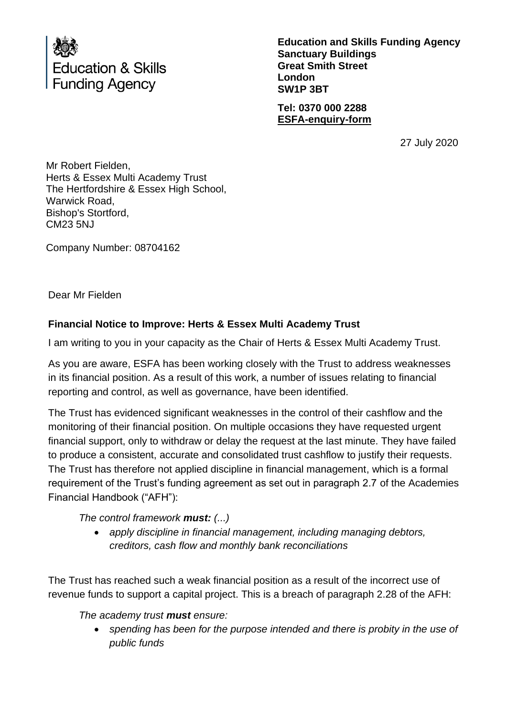

**Education and Skills Funding Agency Sanctuary Buildings Great Smith Street London SW1P 3BT**

**Tel: 0370 000 2288 [ESFA-enquiry-form](http://www.education.gov.uk/efa-enquiry-form)**

27 July 2020

Mr Robert Fielden, Herts & Essex Multi Academy Trust The Hertfordshire & Essex High School, Warwick Road, Bishop's Stortford, CM23 5NJ

Company Number: 08704162

Dear Mr Fielden

### **Financial Notice to Improve: Herts & Essex Multi Academy Trust**

I am writing to you in your capacity as the Chair of Herts & Essex Multi Academy Trust.

As you are aware, ESFA has been working closely with the Trust to address weaknesses in its financial position. As a result of this work, a number of issues relating to financial reporting and control, as well as governance, have been identified.

The Trust has evidenced significant weaknesses in the control of their cashflow and the monitoring of their financial position. On multiple occasions they have requested urgent financial support, only to withdraw or delay the request at the last minute. They have failed to produce a consistent, accurate and consolidated trust cashflow to justify their requests. The Trust has therefore not applied discipline in financial management, which is a formal requirement of the Trust's funding agreement as set out in paragraph 2.7 of the Academies Financial Handbook ("AFH"):

*The control framework must: (...)* 

• *apply discipline in financial management, including managing debtors, creditors, cash flow and monthly bank reconciliations*

The Trust has reached such a weak financial position as a result of the incorrect use of revenue funds to support a capital project. This is a breach of paragraph 2.28 of the AFH:

*The academy trust must ensure:* 

• *spending has been for the purpose intended and there is probity in the use of public funds*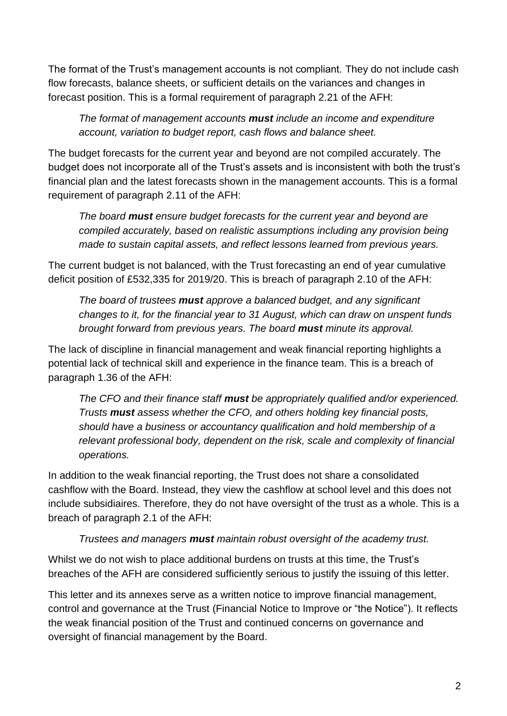The format of the Trust's management accounts is not compliant. They do not include cash flow forecasts, balance sheets, or sufficient details on the variances and changes in forecast position. This is a formal requirement of paragraph 2.21 of the AFH:

*The format of management accounts must include an income and expenditure account, variation to budget report, cash flows and balance sheet.*

The budget forecasts for the current year and beyond are not compiled accurately. The budget does not incorporate all of the Trust's assets and is inconsistent with both the trust's financial plan and the latest forecasts shown in the management accounts. This is a formal requirement of paragraph 2.11 of the AFH:

*The board must ensure budget forecasts for the current year and beyond are compiled accurately, based on realistic assumptions including any provision being made to sustain capital assets, and reflect lessons learned from previous years.*

The current budget is not balanced, with the Trust forecasting an end of year cumulative deficit position of £532,335 for 2019/20. This is breach of paragraph 2.10 of the AFH:

*The board of trustees must approve a balanced budget, and any significant changes to it, for the financial year to 31 August, which can draw on unspent funds brought forward from previous years. The board must minute its approval.*

The lack of discipline in financial management and weak financial reporting highlights a potential lack of technical skill and experience in the finance team. This is a breach of paragraph 1.36 of the AFH:

*The CFO and their finance staff must be appropriately qualified and/or experienced. Trusts must assess whether the CFO, and others holding key financial posts, should have a business or accountancy qualification and hold membership of a relevant professional body, dependent on the risk, scale and complexity of financial operations.*

In addition to the weak financial reporting, the Trust does not share a consolidated cashflow with the Board. Instead, they view the cashflow at school level and this does not include subsidiaires. Therefore, they do not have oversight of the trust as a whole. This is a breach of paragraph 2.1 of the AFH:

# *Trustees and managers must maintain robust oversight of the academy trust.*

Whilst we do not wish to place additional burdens on trusts at this time, the Trust's breaches of the AFH are considered sufficiently serious to justify the issuing of this letter.

This letter and its annexes serve as a written notice to improve financial management, control and governance at the Trust (Financial Notice to Improve or "the Notice"). It reflects the weak financial position of the Trust and continued concerns on governance and oversight of financial management by the Board.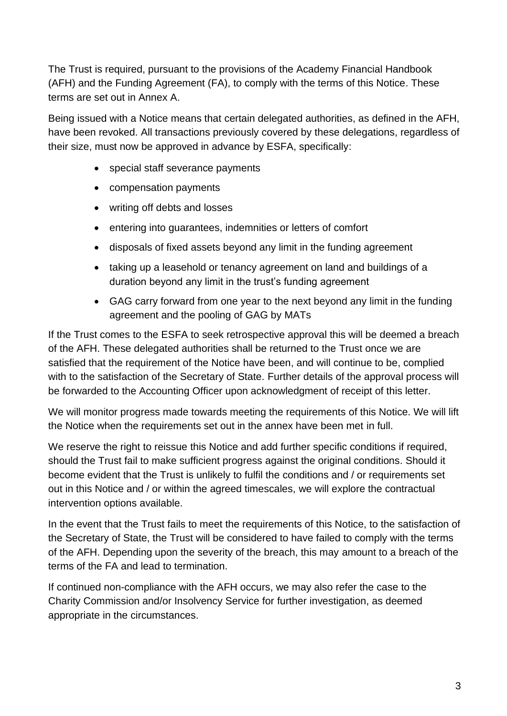The Trust is required, pursuant to the provisions of the Academy Financial Handbook (AFH) and the Funding Agreement (FA), to comply with the terms of this Notice. These terms are set out in Annex A.

Being issued with a Notice means that certain delegated authorities, as defined in the AFH, have been revoked. All transactions previously covered by these delegations, regardless of their size, must now be approved in advance by ESFA, specifically:

- special staff severance payments
- compensation payments
- writing off debts and losses
- entering into guarantees, indemnities or letters of comfort
- disposals of fixed assets beyond any limit in the funding agreement
- taking up a leasehold or tenancy agreement on land and buildings of a duration beyond any limit in the trust's funding agreement
- GAG carry forward from one year to the next beyond any limit in the funding agreement and the pooling of GAG by MATs

If the Trust comes to the ESFA to seek retrospective approval this will be deemed a breach of the AFH. These delegated authorities shall be returned to the Trust once we are satisfied that the requirement of the Notice have been, and will continue to be, complied with to the satisfaction of the Secretary of State. Further details of the approval process will be forwarded to the Accounting Officer upon acknowledgment of receipt of this letter.

We will monitor progress made towards meeting the requirements of this Notice. We will lift the Notice when the requirements set out in the annex have been met in full.

We reserve the right to reissue this Notice and add further specific conditions if required, should the Trust fail to make sufficient progress against the original conditions. Should it become evident that the Trust is unlikely to fulfil the conditions and / or requirements set out in this Notice and / or within the agreed timescales, we will explore the contractual intervention options available.

In the event that the Trust fails to meet the requirements of this Notice, to the satisfaction of the Secretary of State, the Trust will be considered to have failed to comply with the terms of the AFH. Depending upon the severity of the breach, this may amount to a breach of the terms of the FA and lead to termination.

If continued non-compliance with the AFH occurs, we may also refer the case to the Charity Commission and/or Insolvency Service for further investigation, as deemed appropriate in the circumstances.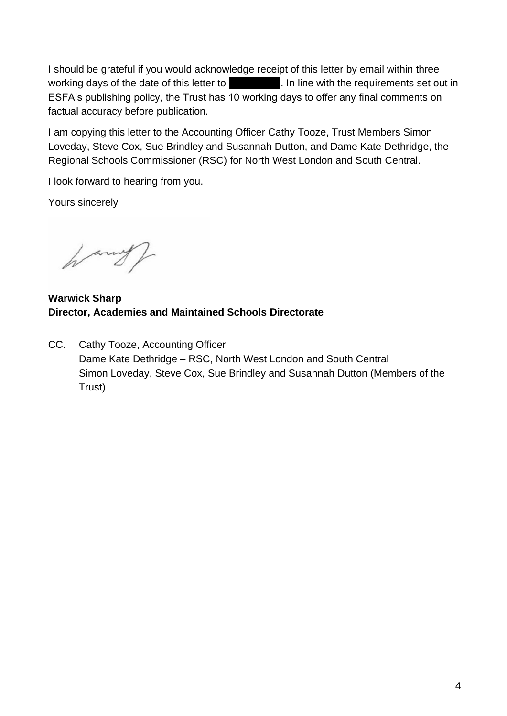I should be grateful if you would acknowledge receipt of this letter by email within three working days of the date of this letter to  $\Box$ . In line with the requirements set out in ESFA's publishing policy, the Trust has 10 working days to offer any final comments on factual accuracy before publication.

I am copying this letter to the Accounting Officer Cathy Tooze, Trust Members Simon Loveday, Steve Cox, Sue Brindley and Susannah Dutton, and Dame Kate Dethridge, the Regional Schools Commissioner (RSC) for North West London and South Central.

I look forward to hearing from you.

Yours sincerely

harry/

**Warwick Sharp Director, Academies and Maintained Schools Directorate**

CC. Cathy Tooze, Accounting Officer Dame Kate Dethridge – RSC, North West London and South Central Simon Loveday, Steve Cox, Sue Brindley and Susannah Dutton (Members of the Trust)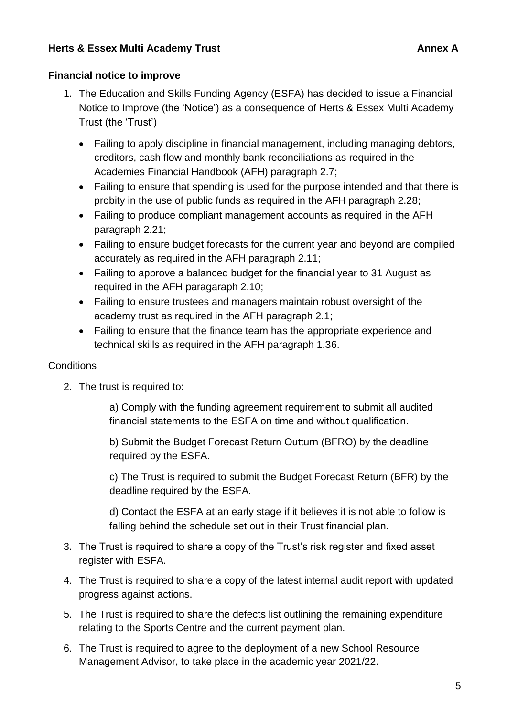### **Herts & Essex Multi Academy Trust Annex A** Annex A

### **Financial notice to improve**

- 1. The Education and Skills Funding Agency (ESFA) has decided to issue a Financial Notice to Improve (the 'Notice') as a consequence of Herts & Essex Multi Academy Trust (the 'Trust')
	- Failing to apply discipline in financial management, including managing debtors, creditors, cash flow and monthly bank reconciliations as required in the Academies Financial Handbook (AFH) paragraph 2.7;
	- Failing to ensure that spending is used for the purpose intended and that there is probity in the use of public funds as required in the AFH paragraph 2.28;
	- Failing to produce compliant management accounts as required in the AFH paragraph 2.21;
	- Failing to ensure budget forecasts for the current year and beyond are compiled accurately as required in the AFH paragraph 2.11;
	- Failing to approve a balanced budget for the financial year to 31 August as required in the AFH paragaraph 2.10;
	- Failing to ensure trustees and managers maintain robust oversight of the academy trust as required in the AFH paragraph 2.1;
	- Failing to ensure that the finance team has the appropriate experience and technical skills as required in the AFH paragraph 1.36.

# **Conditions**

2. The trust is required to:

a) Comply with the funding agreement requirement to submit all audited financial statements to the ESFA on time and without qualification.

b) Submit the Budget Forecast Return Outturn (BFRO) by the deadline required by the ESFA.

c) The Trust is required to submit the Budget Forecast Return (BFR) by the deadline required by the ESFA.

d) Contact the ESFA at an early stage if it believes it is not able to follow is falling behind the schedule set out in their Trust financial plan.

- 3. The Trust is required to share a copy of the Trust's risk register and fixed asset register with ESFA.
- 4. The Trust is required to share a copy of the latest internal audit report with updated progress against actions.
- 5. The Trust is required to share the defects list outlining the remaining expenditure relating to the Sports Centre and the current payment plan.
- 6. The Trust is required to agree to the deployment of a new School Resource Management Advisor, to take place in the academic year 2021/22.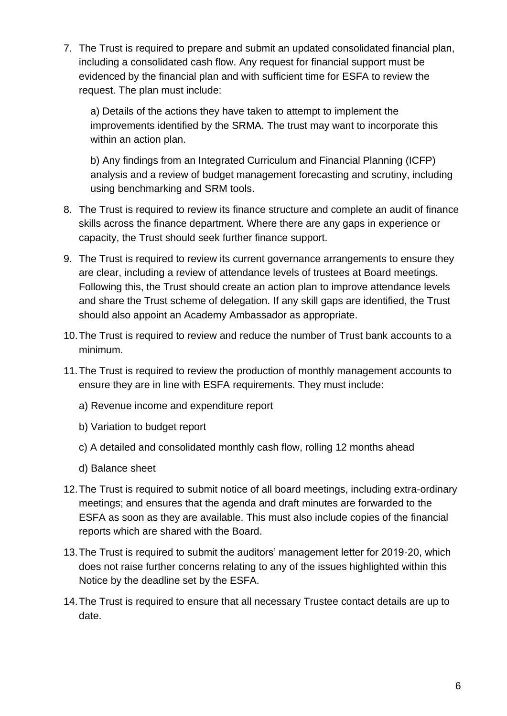7. The Trust is required to prepare and submit an updated consolidated financial plan, including a consolidated cash flow. Any request for financial support must be evidenced by the financial plan and with sufficient time for ESFA to review the request. The plan must include:

a) Details of the actions they have taken to attempt to implement the improvements identified by the SRMA. The trust may want to incorporate this within an action plan.

b) Any findings from an Integrated Curriculum and Financial Planning (ICFP) analysis and a review of budget management forecasting and scrutiny, including using benchmarking and SRM tools.

- 8. The Trust is required to review its finance structure and complete an audit of finance skills across the finance department. Where there are any gaps in experience or capacity, the Trust should seek further finance support.
- 9. The Trust is required to review its current governance arrangements to ensure they are clear, including a review of attendance levels of trustees at Board meetings. Following this, the Trust should create an action plan to improve attendance levels and share the Trust scheme of delegation. If any skill gaps are identified, the Trust should also appoint an Academy Ambassador as appropriate.
- 10.The Trust is required to review and reduce the number of Trust bank accounts to a minimum.
- 11.The Trust is required to review the production of monthly management accounts to ensure they are in line with ESFA requirements. They must include:
	- a) Revenue income and expenditure report
	- b) Variation to budget report
	- c) A detailed and consolidated monthly cash flow, rolling 12 months ahead
	- d) Balance sheet
- 12.The Trust is required to submit notice of all board meetings, including extra-ordinary meetings; and ensures that the agenda and draft minutes are forwarded to the ESFA as soon as they are available. This must also include copies of the financial reports which are shared with the Board.
- 13.The Trust is required to submit the auditors' management letter for 2019-20, which does not raise further concerns relating to any of the issues highlighted within this Notice by the deadline set by the ESFA.
- 14.The Trust is required to ensure that all necessary Trustee contact details are up to date.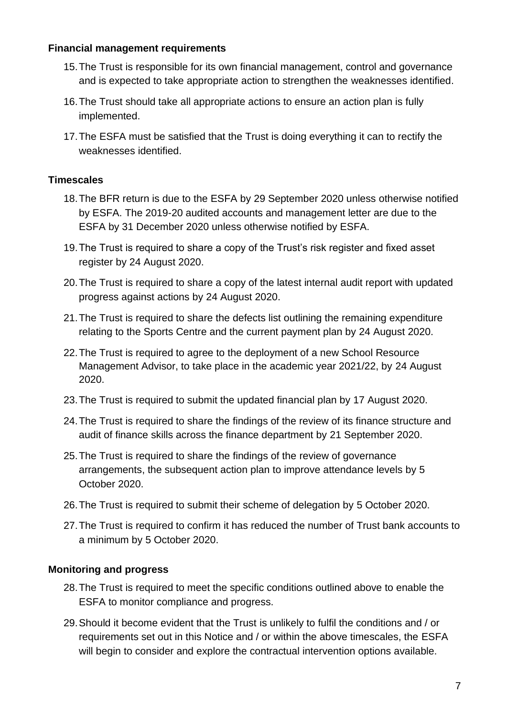#### **Financial management requirements**

- 15.The Trust is responsible for its own financial management, control and governance and is expected to take appropriate action to strengthen the weaknesses identified.
- 16.The Trust should take all appropriate actions to ensure an action plan is fully implemented.
- 17.The ESFA must be satisfied that the Trust is doing everything it can to rectify the weaknesses identified.

### **Timescales**

- 18.The BFR return is due to the ESFA by 29 September 2020 unless otherwise notified by ESFA. The 2019-20 audited accounts and management letter are due to the ESFA by 31 December 2020 unless otherwise notified by ESFA.
- 19.The Trust is required to share a copy of the Trust's risk register and fixed asset register by 24 August 2020.
- 20.The Trust is required to share a copy of the latest internal audit report with updated progress against actions by 24 August 2020.
- 21.The Trust is required to share the defects list outlining the remaining expenditure relating to the Sports Centre and the current payment plan by 24 August 2020.
- 22.The Trust is required to agree to the deployment of a new School Resource Management Advisor, to take place in the academic year 2021/22, by 24 August 2020.
- 23.The Trust is required to submit the updated financial plan by 17 August 2020.
- 24.The Trust is required to share the findings of the review of its finance structure and audit of finance skills across the finance department by 21 September 2020.
- 25.The Trust is required to share the findings of the review of governance arrangements, the subsequent action plan to improve attendance levels by 5 October 2020.
- 26.The Trust is required to submit their scheme of delegation by 5 October 2020.
- 27.The Trust is required to confirm it has reduced the number of Trust bank accounts to a minimum by 5 October 2020.

# **Monitoring and progress**

- 28.The Trust is required to meet the specific conditions outlined above to enable the ESFA to monitor compliance and progress.
- 29.Should it become evident that the Trust is unlikely to fulfil the conditions and / or requirements set out in this Notice and / or within the above timescales, the ESFA will begin to consider and explore the contractual intervention options available.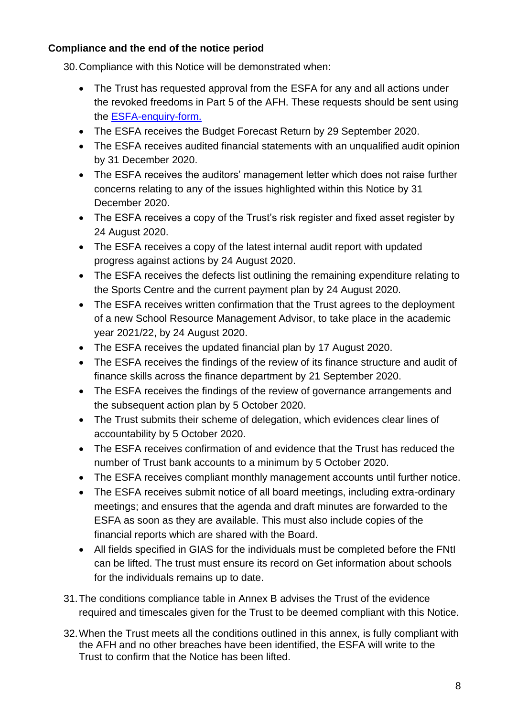# **Compliance and the end of the notice period**

30.Compliance with this Notice will be demonstrated when:

- The Trust has requested approval from the ESFA for any and all actions under the revoked freedoms in Part 5 of the AFH. These requests should be sent using the [ESFA-enquiry-form.](https://form.education.gov.uk/fillform.php?self=1&form_id=HR41uA2F8Dh&type=form&ShowMsg=1&form_name=Knowledge+centre+enquiry+form&noRegister=false&ret=%2Fmodule%2Fservices&noLoginPrompt=1)
- The ESFA receives the Budget Forecast Return by 29 September 2020.
- The ESFA receives audited financial statements with an unqualified audit opinion by 31 December 2020.
- The ESFA receives the auditors' management letter which does not raise further concerns relating to any of the issues highlighted within this Notice by 31 December 2020.
- The ESFA receives a copy of the Trust's risk register and fixed asset register by 24 August 2020.
- The ESFA receives a copy of the latest internal audit report with updated progress against actions by 24 August 2020.
- The ESFA receives the defects list outlining the remaining expenditure relating to the Sports Centre and the current payment plan by 24 August 2020.
- The ESFA receives written confirmation that the Trust agrees to the deployment of a new School Resource Management Advisor, to take place in the academic year 2021/22, by 24 August 2020.
- The ESFA receives the updated financial plan by 17 August 2020.
- The ESFA receives the findings of the review of its finance structure and audit of finance skills across the finance department by 21 September 2020.
- The ESFA receives the findings of the review of governance arrangements and the subsequent action plan by 5 October 2020.
- The Trust submits their scheme of delegation, which evidences clear lines of accountability by 5 October 2020.
- The ESFA receives confirmation of and evidence that the Trust has reduced the number of Trust bank accounts to a minimum by 5 October 2020.
- The ESFA receives compliant monthly management accounts until further notice.
- The ESFA receives submit notice of all board meetings, including extra-ordinary meetings; and ensures that the agenda and draft minutes are forwarded to the ESFA as soon as they are available. This must also include copies of the financial reports which are shared with the Board.
- All fields specified in GIAS for the individuals must be completed before the FNtI can be lifted. The trust must ensure its record on Get information about schools for the individuals remains up to date.
- 31.The conditions compliance table in Annex B advises the Trust of the evidence required and timescales given for the Trust to be deemed compliant with this Notice.
- 32.When the Trust meets all the conditions outlined in this annex, is fully compliant with the AFH and no other breaches have been identified, the ESFA will write to the Trust to confirm that the Notice has been lifted.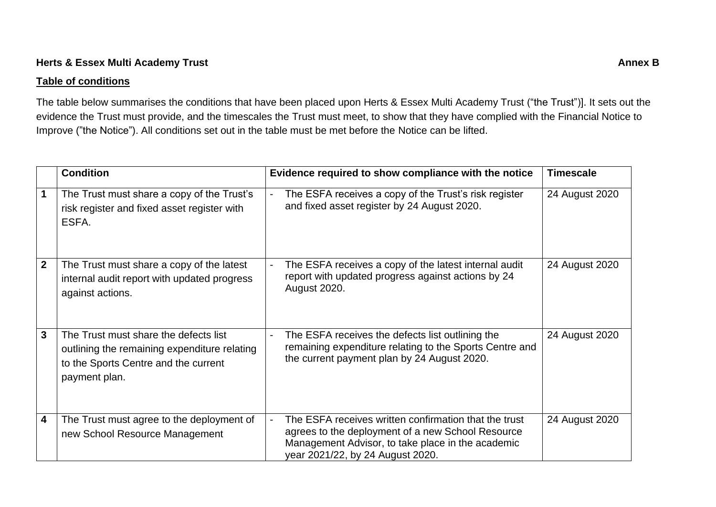### **Herts & Essex Multi Academy Trust Annex B**

#### **Table of conditions**

The table below summarises the conditions that have been placed upon Herts & Essex Multi Academy Trust ("the Trust")]. It sets out the evidence the Trust must provide, and the timescales the Trust must meet, to show that they have complied with the Financial Notice to Improve ("the Notice"). All conditions set out in the table must be met before the Notice can be lifted.

|                         | <b>Condition</b>                                                                                                                               | Evidence required to show compliance with the notice                                                                                                                                                                  | <b>Timescale</b> |
|-------------------------|------------------------------------------------------------------------------------------------------------------------------------------------|-----------------------------------------------------------------------------------------------------------------------------------------------------------------------------------------------------------------------|------------------|
|                         | The Trust must share a copy of the Trust's<br>risk register and fixed asset register with<br>ESFA.                                             | The ESFA receives a copy of the Trust's risk register<br>$\overline{\phantom{a}}$<br>and fixed asset register by 24 August 2020.                                                                                      | 24 August 2020   |
| $\overline{2}$          | The Trust must share a copy of the latest<br>internal audit report with updated progress<br>against actions.                                   | The ESFA receives a copy of the latest internal audit<br>report with updated progress against actions by 24<br><b>August 2020.</b>                                                                                    | 24 August 2020   |
| $\mathbf{3}$            | The Trust must share the defects list<br>outlining the remaining expenditure relating<br>to the Sports Centre and the current<br>payment plan. | The ESFA receives the defects list outlining the<br>remaining expenditure relating to the Sports Centre and<br>the current payment plan by 24 August 2020.                                                            | 24 August 2020   |
| $\overline{\mathbf{4}}$ | The Trust must agree to the deployment of<br>new School Resource Management                                                                    | The ESFA receives written confirmation that the trust<br>$\blacksquare$<br>agrees to the deployment of a new School Resource<br>Management Advisor, to take place in the academic<br>year 2021/22, by 24 August 2020. | 24 August 2020   |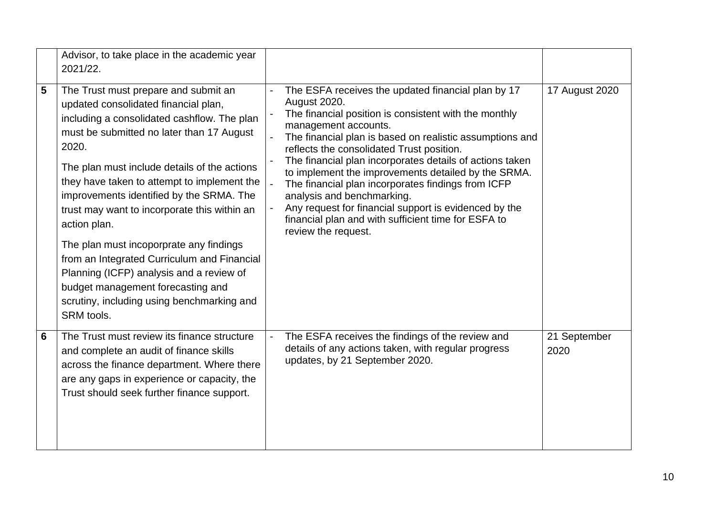|   | Advisor, to take place in the academic year<br>2021/22.                                                                                                                                                                                                                                                                                                                                                                                                                                                                                                                                                                             |                                                                                                                                                                                                                                                                                                                                                                                                                                                                                                                                                                                                                   |                      |
|---|-------------------------------------------------------------------------------------------------------------------------------------------------------------------------------------------------------------------------------------------------------------------------------------------------------------------------------------------------------------------------------------------------------------------------------------------------------------------------------------------------------------------------------------------------------------------------------------------------------------------------------------|-------------------------------------------------------------------------------------------------------------------------------------------------------------------------------------------------------------------------------------------------------------------------------------------------------------------------------------------------------------------------------------------------------------------------------------------------------------------------------------------------------------------------------------------------------------------------------------------------------------------|----------------------|
| 5 | The Trust must prepare and submit an<br>updated consolidated financial plan,<br>including a consolidated cashflow. The plan<br>must be submitted no later than 17 August<br>2020.<br>The plan must include details of the actions<br>they have taken to attempt to implement the<br>improvements identified by the SRMA. The<br>trust may want to incorporate this within an<br>action plan.<br>The plan must incoporprate any findings<br>from an Integrated Curriculum and Financial<br>Planning (ICFP) analysis and a review of<br>budget management forecasting and<br>scrutiny, including using benchmarking and<br>SRM tools. | The ESFA receives the updated financial plan by 17<br><b>August 2020.</b><br>The financial position is consistent with the monthly<br>management accounts.<br>The financial plan is based on realistic assumptions and<br>reflects the consolidated Trust position.<br>The financial plan incorporates details of actions taken<br>to implement the improvements detailed by the SRMA.<br>The financial plan incorporates findings from ICFP<br>analysis and benchmarking.<br>Any request for financial support is evidenced by the<br>financial plan and with sufficient time for ESFA to<br>review the request. | 17 August 2020       |
| 6 | The Trust must review its finance structure<br>and complete an audit of finance skills<br>across the finance department. Where there<br>are any gaps in experience or capacity, the<br>Trust should seek further finance support.                                                                                                                                                                                                                                                                                                                                                                                                   | The ESFA receives the findings of the review and<br>details of any actions taken, with regular progress<br>updates, by 21 September 2020.                                                                                                                                                                                                                                                                                                                                                                                                                                                                         | 21 September<br>2020 |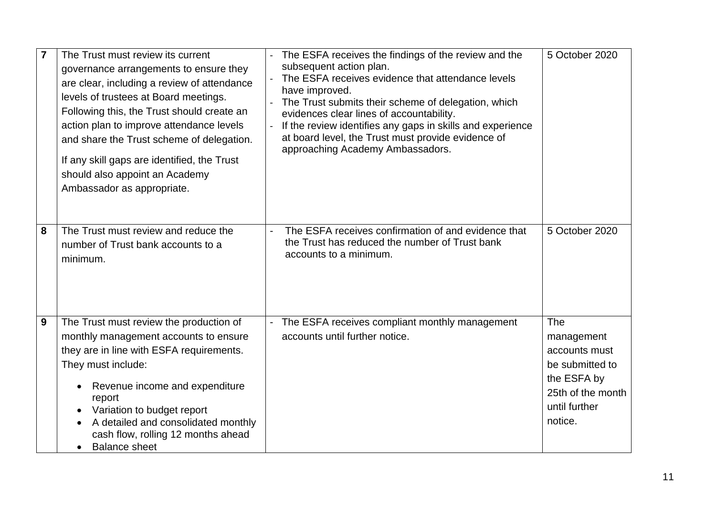| $\overline{7}$   | The Trust must review its current<br>governance arrangements to ensure they<br>are clear, including a review of attendance<br>levels of trustees at Board meetings.<br>Following this, the Trust should create an<br>action plan to improve attendance levels<br>and share the Trust scheme of delegation.<br>If any skill gaps are identified, the Trust<br>should also appoint an Academy<br>Ambassador as appropriate. | The ESFA receives the findings of the review and the<br>subsequent action plan.<br>The ESFA receives evidence that attendance levels<br>have improved.<br>The Trust submits their scheme of delegation, which<br>evidences clear lines of accountability.<br>If the review identifies any gaps in skills and experience<br>at board level, the Trust must provide evidence of<br>approaching Academy Ambassadors. | 5 October 2020                                                                            |
|------------------|---------------------------------------------------------------------------------------------------------------------------------------------------------------------------------------------------------------------------------------------------------------------------------------------------------------------------------------------------------------------------------------------------------------------------|-------------------------------------------------------------------------------------------------------------------------------------------------------------------------------------------------------------------------------------------------------------------------------------------------------------------------------------------------------------------------------------------------------------------|-------------------------------------------------------------------------------------------|
| 8                | The Trust must review and reduce the<br>number of Trust bank accounts to a<br>minimum.                                                                                                                                                                                                                                                                                                                                    | The ESFA receives confirmation of and evidence that<br>the Trust has reduced the number of Trust bank<br>accounts to a minimum.                                                                                                                                                                                                                                                                                   | 5 October 2020                                                                            |
| $\boldsymbol{9}$ | The Trust must review the production of<br>monthly management accounts to ensure<br>they are in line with ESFA requirements.<br>They must include:<br>Revenue income and expenditure<br>$\bullet$                                                                                                                                                                                                                         | The ESFA receives compliant monthly management<br>accounts until further notice.                                                                                                                                                                                                                                                                                                                                  | The<br>management<br>accounts must<br>be submitted to<br>the ESFA by<br>25th of the month |
|                  | report<br>Variation to budget report<br>A detailed and consolidated monthly<br>$\bullet$<br>cash flow, rolling 12 months ahead<br><b>Balance sheet</b><br>$\bullet$                                                                                                                                                                                                                                                       |                                                                                                                                                                                                                                                                                                                                                                                                                   | until further<br>notice.                                                                  |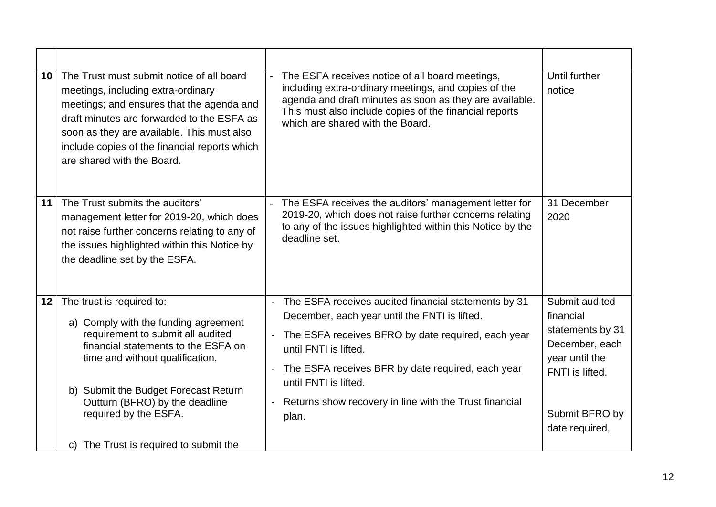| 10 | The Trust must submit notice of all board<br>meetings, including extra-ordinary<br>meetings; and ensures that the agenda and<br>draft minutes are forwarded to the ESFA as<br>soon as they are available. This must also<br>include copies of the financial reports which<br>are shared with the Board.                       | The ESFA receives notice of all board meetings,<br>including extra-ordinary meetings, and copies of the<br>agenda and draft minutes as soon as they are available.<br>This must also include copies of the financial reports<br>which are shared with the Board.                                                                                                                                                | Until further<br>notice                                                                                                                    |
|----|-------------------------------------------------------------------------------------------------------------------------------------------------------------------------------------------------------------------------------------------------------------------------------------------------------------------------------|-----------------------------------------------------------------------------------------------------------------------------------------------------------------------------------------------------------------------------------------------------------------------------------------------------------------------------------------------------------------------------------------------------------------|--------------------------------------------------------------------------------------------------------------------------------------------|
| 11 | The Trust submits the auditors'<br>management letter for 2019-20, which does<br>not raise further concerns relating to any of<br>the issues highlighted within this Notice by<br>the deadline set by the ESFA.                                                                                                                | The ESFA receives the auditors' management letter for<br>2019-20, which does not raise further concerns relating<br>to any of the issues highlighted within this Notice by the<br>deadline set.                                                                                                                                                                                                                 | 31 December<br>2020                                                                                                                        |
| 12 | The trust is required to:<br>a) Comply with the funding agreement<br>requirement to submit all audited<br>financial statements to the ESFA on<br>time and without qualification.<br>b) Submit the Budget Forecast Return<br>Outturn (BFRO) by the deadline<br>required by the ESFA.<br>c) The Trust is required to submit the | The ESFA receives audited financial statements by 31<br>$\blacksquare$<br>December, each year until the FNTI is lifted.<br>The ESFA receives BFRO by date required, each year<br>until FNTI is lifted.<br>The ESFA receives BFR by date required, each year<br>$\overline{\phantom{a}}$<br>until FNTI is lifted.<br>Returns show recovery in line with the Trust financial<br>$\overline{\phantom{a}}$<br>plan. | Submit audited<br>financial<br>statements by 31<br>December, each<br>year until the<br>FNTI is lifted.<br>Submit BFRO by<br>date required, |